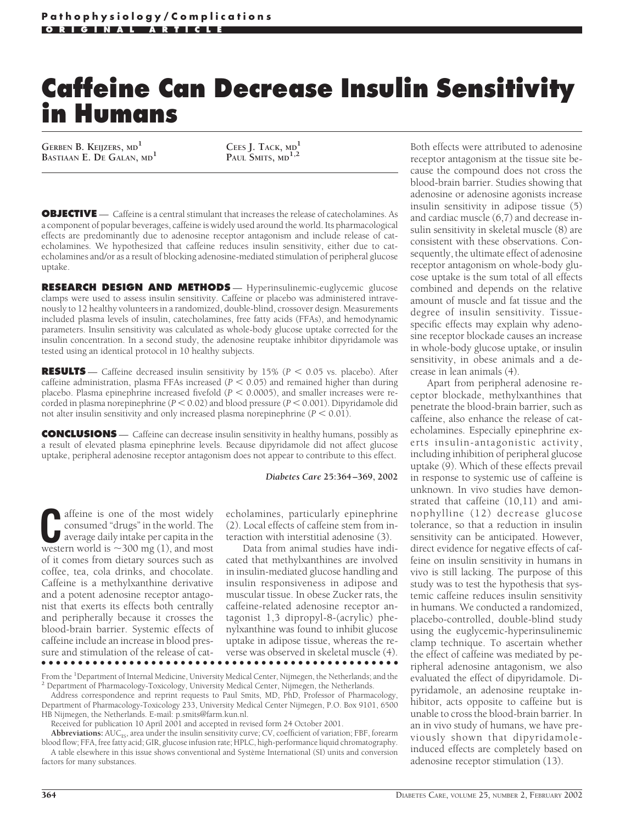# **Caffeine Can Decrease Insulin Sensitivity in Humans**

**GERBEN B. KEIJZERS, MD<sup>1</sup> BASTIAAN E. DE GALAN, MD<sup>1</sup> CEES J. TACK, MD<sup>1</sup>**

**PAUL SMITS, MD1,2**

**OBJECTIVE** — Caffeine is a central stimulant that increases the release of catecholamines. As a component of popular beverages, caffeine is widely used around the world. Its pharmacological effects are predominantly due to adenosine receptor antagonism and include release of catecholamines. We hypothesized that caffeine reduces insulin sensitivity, either due to catecholamines and/or as a result of blocking adenosine-mediated stimulation of peripheral glucose uptake.

**RESEARCH DESIGN AND METHODS** — Hyperinsulinemic-euglycemic glucose clamps were used to assess insulin sensitivity. Caffeine or placebo was administered intravenously to 12 healthy volunteers in a randomized, double-blind, crossover design. Measurements included plasma levels of insulin, catecholamines, free fatty acids (FFAs), and hemodynamic parameters. Insulin sensitivity was calculated as whole-body glucose uptake corrected for the insulin concentration. In a second study, the adenosine reuptake inhibitor dipyridamole was tested using an identical protocol in 10 healthy subjects.

**RESULTS** — Caffeine decreased insulin sensitivity by 15% ( $P < 0.05$  vs. placebo). After caffeine administration, plasma FFAs increased ( $P < 0.05$ ) and remained higher than during placebo. Plasma epinephrine increased fivefold  $(P < 0.0005)$ , and smaller increases were recorded in plasma norepinephrine ( $P \le 0.02$ ) and blood pressure ( $P \le 0.001$ ). Dipyridamole did not alter insulin sensitivity and only increased plasma norepinephrine  $(P < 0.01)$ .

**CONCLUSIONS** — Caffeine can decrease insulin sensitivity in healthy humans, possibly as a result of elevated plasma epinephrine levels. Because dipyridamole did not affect glucose uptake, peripheral adenosine receptor antagonism does not appear to contribute to this effect.

#### *Diabetes Care* **25:364–369, 2002**

**C**affeine is one of the most widely consumed "drugs" in the world. The average daily intake per capita in the western world is  $\sim$ 300 mg (1), and most of it comes from dietary sources such as coffee, tea, cola drinks, and chocolate. Caffeine is a methylxanthine derivative and a potent adenosine receptor antagonist that exerts its effects both centrally and peripherally because it crosses the blood-brain barrier. Systemic effects of caffeine include an increase in blood pressure and stimulation of the release of cat-

echolamines, particularly epinephrine (2). Local effects of caffeine stem from interaction with interstitial adenosine (3).

Data from animal studies have indicated that methylxanthines are involved in insulin-mediated glucose handling and insulin responsiveness in adipose and muscular tissue. In obese Zucker rats, the caffeine-related adenosine receptor antagonist 1,3 dipropyl-8-(acrylic) phenylxanthine was found to inhibit glucose uptake in adipose tissue, whereas the reverse was observed in skeletal muscle (4). ●●●●●●●●●●●●●●●●●●●●●●●●●●●●●●●●●●●●●●●●●●●●●●●●●

From the <sup>1</sup>Department of Internal Medicine, University Medical Center, Nijmegen, the Netherlands; and the  $^2$  Department of Pharmacology-Toxicology, University Medical Center, Nijmegen, the Netherlands.

Address correspondence and reprint requests to Paul Smits, MD, PhD, Professor of Pharmacology, Department of Pharmacology-Toxicology 233, University Medical Center Nijmegen, P.O. Box 9101, 6500 HB Nijmegen, the Netherlands. E-mail: p.smits@farm.kun.nl.

Received for publication 10 April 2001 and accepted in revised form 24 October 2001.

Abbreviations: AUC<sub>IS</sub>, area under the insulin sensitivity curve; CV, coefficient of variation; FBF, forearm blood flow; FFA, free fatty acid; GIR, glucose infusion rate; HPLC, high-performance liquid chromatography. A table elsewhere in this issue shows conventional and Système International (SI) units and conversion factors for many substances.

Both effects were attributed to adenosine receptor antagonism at the tissue site because the compound does not cross the blood-brain barrier. Studies showing that adenosine or adenosine agonists increase insulin sensitivity in adipose tissue (5) and cardiac muscle (6,7) and decrease insulin sensitivity in skeletal muscle (8) are consistent with these observations. Consequently, the ultimate effect of adenosine receptor antagonism on whole-body glucose uptake is the sum total of all effects combined and depends on the relative amount of muscle and fat tissue and the degree of insulin sensitivity. Tissuespecific effects may explain why adenosine receptor blockade causes an increase in whole-body glucose uptake, or insulin sensitivity, in obese animals and a decrease in lean animals (4).

Apart from peripheral adenosine receptor blockade, methylxanthines that penetrate the blood-brain barrier, such as caffeine, also enhance the release of catecholamines. Especially epinephrine exerts insulin-antagonistic activity, including inhibition of peripheral glucose uptake (9). Which of these effects prevail in response to systemic use of caffeine is unknown. In vivo studies have demonstrated that caffeine (10,11) and aminophylline (12) decrease glucose tolerance, so that a reduction in insulin sensitivity can be anticipated. However, direct evidence for negative effects of caffeine on insulin sensitivity in humans in vivo is still lacking. The purpose of this study was to test the hypothesis that systemic caffeine reduces insulin sensitivity in humans. We conducted a randomized, placebo-controlled, double-blind study using the euglycemic-hyperinsulinemic clamp technique. To ascertain whether the effect of caffeine was mediated by peripheral adenosine antagonism, we also evaluated the effect of dipyridamole. Dipyridamole, an adenosine reuptake inhibitor, acts opposite to caffeine but is unable to cross the blood-brain barrier. In an in vivo study of humans, we have previously shown that dipyridamoleinduced effects are completely based on adenosine receptor stimulation (13).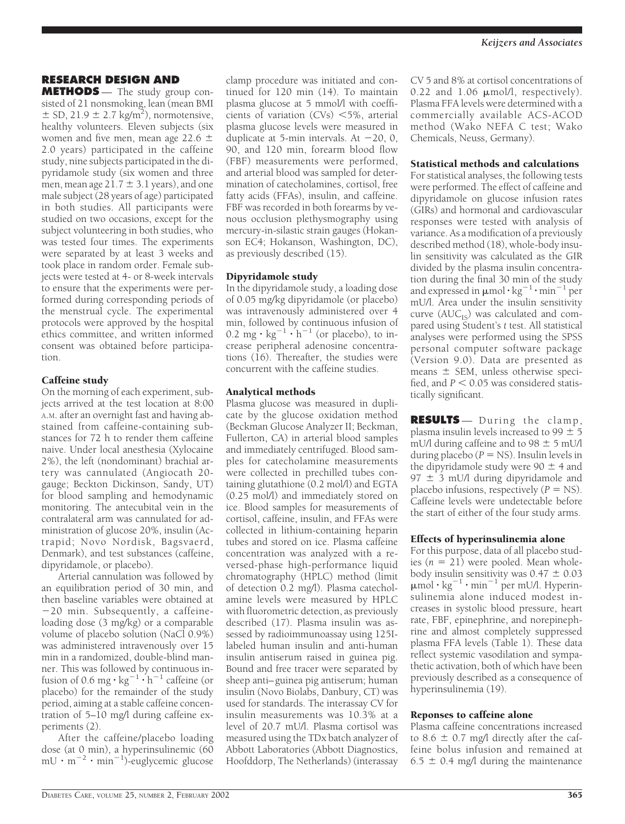# **RESEARCH DESIGN AND**

**METHODS** — The study group consisted of 21 nonsmoking, lean (mean BMI  $\pm$  SD, 21.9  $\pm$  2.7 kg/m<sup>2</sup>), normotensive, healthy volunteers. Eleven subjects (six women and five men, mean age 22.6  $\pm$ 2.0 years) participated in the caffeine study, nine subjects participated in the dipyridamole study (six women and three men, mean age  $21.7 \pm 3.1$  years), and one male subject (28 years of age) participated in both studies. All participants were studied on two occasions, except for the subject volunteering in both studies, who was tested four times. The experiments were separated by at least 3 weeks and took place in random order. Female subjects were tested at 4- or 8-week intervals to ensure that the experiments were performed during corresponding periods of the menstrual cycle. The experimental protocols were approved by the hospital ethics committee, and written informed consent was obtained before participation.

# Caffeine study

On the morning of each experiment, subjects arrived at the test location at 8:00 A.M. after an overnight fast and having abstained from caffeine-containing substances for 72 h to render them caffeine naive. Under local anesthesia (Xylocaine 2%), the left (nondominant) brachial artery was cannulated (Angiocath 20 gauge; Beckton Dickinson, Sandy, UT) for blood sampling and hemodynamic monitoring. The antecubital vein in the contralateral arm was cannulated for administration of glucose 20%, insulin (Actrapid; Novo Nordisk, Bagsvaerd, Denmark), and test substances (caffeine, dipyridamole, or placebo).

Arterial cannulation was followed by an equilibration period of 30 min, and then baseline variables were obtained at 20 min. Subsequently, a caffeineloading dose (3 mg/kg) or a comparable volume of placebo solution (NaCl 0.9%) was administered intravenously over 15 min in a randomized, double-blind manner. This was followed by continuous infusion of 0.6 mg  $\cdot$  kg<sup>-1</sup>  $\cdot$  h<sup>-1</sup> caffeine (or placebo) for the remainder of the study period, aiming at a stable caffeine concentration of 5–10 mg/l during caffeine experiments (2).

After the caffeine/placebo loading dose (at 0 min), a hyperinsulinemic (60  $mU \cdot m^{-2} \cdot min^{-1}$ )-euglycemic glucose

clamp procedure was initiated and continued for 120 min (14). To maintain plasma glucose at 5 mmol/l with coefficients of variation  $(CVs) < 5\%$ , arterial plasma glucose levels were measured in duplicate at 5-min intervals. At  $-20$ , 0, 90, and 120 min, forearm blood flow (FBF) measurements were performed, and arterial blood was sampled for determination of catecholamines, cortisol, free fatty acids (FFAs), insulin, and caffeine. FBF was recorded in both forearms by venous occlusion plethysmography using mercury-in-silastic strain gauges (Hokanson EC4; Hokanson, Washington, DC), as previously described (15).

## Dipyridamole study

In the dipyridamole study, a loading dose of 0.05 mg/kg dipyridamole (or placebo) was intravenously administered over 4 min, followed by continuous infusion of 0.2 mg  $\cdot$  kg<sup>-1</sup>  $\cdot$  h<sup>-1</sup> (or placebo), to increase peripheral adenosine concentrations (16). Thereafter, the studies were concurrent with the caffeine studies.

### Analytical methods

Plasma glucose was measured in duplicate by the glucose oxidation method (Beckman Glucose Analyzer II; Beckman, Fullerton, CA) in arterial blood samples and immediately centrifuged. Blood samples for catecholamine measurements were collected in prechilled tubes containing glutathione (0.2 mol/l) and EGTA (0.25 mol/l) and immediately stored on ice. Blood samples for measurements of cortisol, caffeine, insulin, and FFAs were collected in lithium-containing heparin tubes and stored on ice. Plasma caffeine concentration was analyzed with a reversed-phase high-performance liquid chromatography (HPLC) method (limit of detection 0.2 mg/l). Plasma catecholamine levels were measured by HPLC with fluorometric detection, as previously described (17). Plasma insulin was assessed by radioimmunoassay using 125Ilabeled human insulin and anti-human insulin antiserum raised in guinea pig. Bound and free tracer were separated by sheep anti–guinea pig antiserum; human insulin (Novo Biolabs, Danbury, CT) was used for standards. The interassay CV for insulin measurements was 10.3% at a level of 20.7 mU/l. Plasma cortisol was measured using the TDx batch analyzer of Abbott Laboratories (Abbott Diagnostics, Hoofddorp, The Netherlands) (interassay

CV 5 and 8% at cortisol concentrations of 0.22 and  $1.06 \mu$ mol/l, respectively). Plasma FFA levels were determined with a commercially available ACS-ACOD method (Wako NEFA C test; Wako Chemicals, Neuss, Germany).

## Statistical methods and calculations

For statistical analyses, the following tests were performed. The effect of caffeine and dipyridamole on glucose infusion rates (GIRs) and hormonal and cardiovascular responses were tested with analysis of variance. As a modification of a previously described method (18), whole-body insulin sensitivity was calculated as the GIR divided by the plasma insulin concentration during the final 30 min of the study and expressed in  $\mu$ mol·kg<sup>-1</sup>·min<sup>-1</sup> per mU/l. Area under the insulin sensitivity curve  $(AUC_{IS})$  was calculated and compared using Student's *t* test. All statistical analyses were performed using the SPSS personal computer software package (Version 9.0). Data are presented as means  $\pm$  SEM, unless otherwise specified, and  $P < 0.05$  was considered statistically significant.

**RESULTS** — During the clamp, plasma insulin levels increased to 99  $\pm$  5 mU/l during caffeine and to  $98 \pm 5$  mU/l during placebo ( $P = NS$ ). Insulin levels in the dipyridamole study were  $90 \pm 4$  and 97  $\pm$  3 mU/l during dipyridamole and placebo infusions, respectively  $(P = NS)$ . Caffeine levels were undetectable before the start of either of the four study arms.

# Effects of hyperinsulinemia alone

For this purpose, data of all placebo studies  $(n = 21)$  were pooled. Mean wholebody insulin sensitivity was  $0.47 \pm 0.03$  $\mu$ mol · kg<sup>-1</sup> · min<sup>-1</sup> per mU/l. Hyperinsulinemia alone induced modest increases in systolic blood pressure, heart rate, FBF, epinephrine, and norepinephrine and almost completely suppressed plasma FFA levels (Table 1). These data reflect systemic vasodilation and sympathetic activation, both of which have been previously described as a consequence of hyperinsulinemia (19).

### Reponses to caffeine alone

Plasma caffeine concentrations increased to 8.6  $\pm$  0.7 mg/l directly after the caffeine bolus infusion and remained at  $6.5 \pm 0.4$  mg/l during the maintenance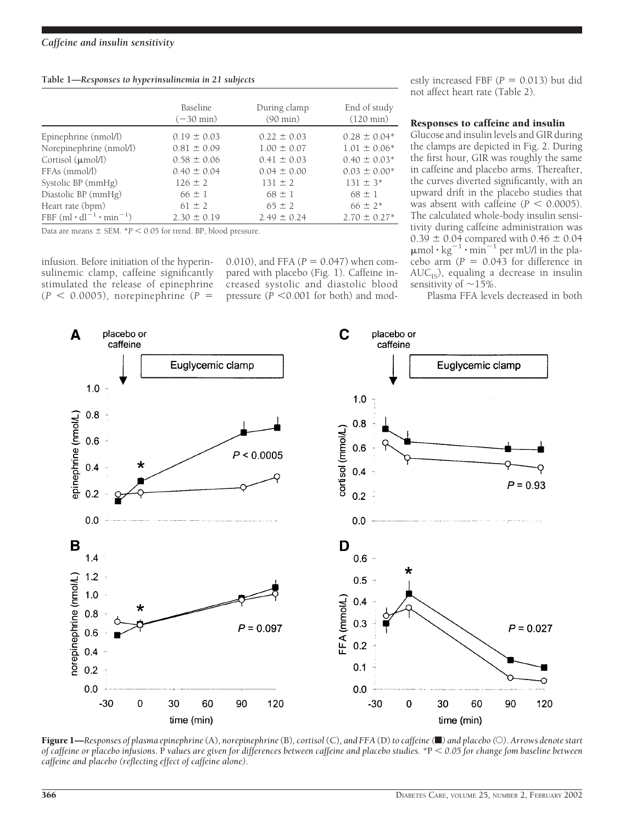| Table 1-Responses to hyperinsulinemia in 21 subjects |  |  |  |
|------------------------------------------------------|--|--|--|
|                                                      |  |  |  |

|                                         | Baseline<br>$(-30 \text{ min})$ | During clamp<br>$(90 \text{ min})$ | End of study<br>$(120 \text{ min})$ |
|-----------------------------------------|---------------------------------|------------------------------------|-------------------------------------|
| Epinephrine (nmol/l)                    | $0.19 \pm 0.03$                 | $0.22 \pm 0.03$                    | $0.28 \pm 0.04*$                    |
| Norepinephrine (nmol/l)                 | $0.81 \pm 0.09$                 | $1.00 \pm 0.07$                    | $1.01 \pm 0.06*$                    |
| Cortisol $(\mu \text{mol/l})$           | $0.58 \pm 0.06$                 | $0.41 \pm 0.03$                    | $0.40 \pm 0.03*$                    |
| FFAs (mmol/l)                           | $0.40 \pm 0.04$                 | $0.04 \pm 0.00$                    | $0.03 \pm 0.00*$                    |
| Systolic BP (mmHg)                      | $126 \pm 2$                     | $131 \pm 2$                        | $131 \pm 3^*$                       |
| Diastolic BP (mmHg)                     | $66 \pm 1$                      | $68 \pm 1$                         | $68 \pm 1$                          |
| Heart rate (bpm)                        | $61 \pm 2$                      | $65 \pm 2$                         | $66 \pm 2*$                         |
| FBF $(ml \cdot dl^{-1} \cdot min^{-1})$ | $2.30 \pm 0.19$                 | $2.49 \pm 0.24$                    | $2.70 \pm 0.27$ <sup>*</sup>        |

Data are means  $\pm$  SEM.  $*P < 0.05$  for trend. BP, blood pressure.

infusion. Before initiation of the hyperinsulinemic clamp, caffeine significantly stimulated the release of epinephrine  $(P < 0.0005)$ , norepinephrine  $(P =$ 

0.010), and FFA ( $P = 0.047$ ) when compared with placebo (Fig. 1). Caffeine increased systolic and diastolic blood pressure  $(P \leq 0.001$  for both) and modestly increased FBF  $(P = 0.013)$  but did not affect heart rate (Table 2).

## Responses to caffeine and insulin

Glucose and insulin levels and GIR during the clamps are depicted in Fig. 2. During the first hour, GIR was roughly the same in caffeine and placebo arms. Thereafter, the curves diverted significantly, with an upward drift in the placebo studies that was absent with caffeine  $(P < 0.0005)$ . The calculated whole-body insulin sensitivity during caffeine administration was  $0.39 \pm 0.04$  compared with  $0.46 \pm 0.04$  $\mu$ mol·kg<sup>-1</sup>·min<sup>-1</sup> per mU/l in the placebo arm  $(P = 0.043$  for difference in  $AUC_{IS}$ ), equaling a decrease in insulin sensitivity of  $~15\%$ .

Plasma FFA levels decreased in both



Figure 1—*Responses of plasma epinephrine* (A)*, norepinephrine* (B)*, cortisol*(C)*, and FFA* (D)*to caffeine (*f*) and placebo (*E*). Arrows denote start of caffeine or placebo infusions.* P *values are given for differences between caffeine and placebo studies. \**P *0.05 for change fom baseline between caffeine and placebo (reflecting effect of caffeine alone).*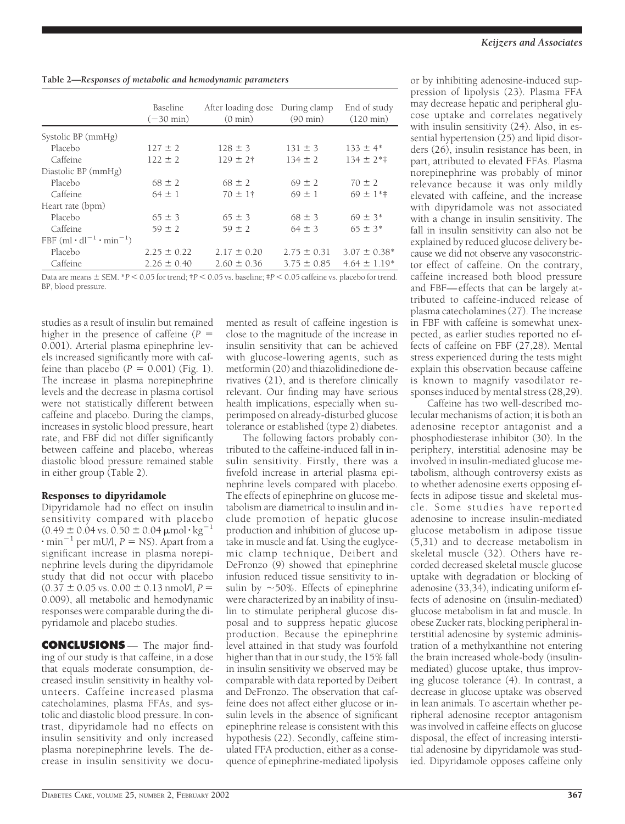|  |  | Table 2-Responses of metabolic and hemodynamic parameters |
|--|--|-----------------------------------------------------------|
|--|--|-----------------------------------------------------------|

|                                         | Baseline<br>$(-30 \text{ min})$ | After loading dose During clamp<br>$(0 \text{ min})$ | $(90 \text{ min})$ | End of study<br>$(120 \text{ min})$ |
|-----------------------------------------|---------------------------------|------------------------------------------------------|--------------------|-------------------------------------|
| Systolic BP (mmHg)                      |                                 |                                                      |                    |                                     |
| Placebo                                 | $127 \pm 2$                     | $128 \pm 3$                                          | $131 \pm 3$        | $133 \pm 4^*$                       |
| Caffeine                                | $122 \pm 2$                     | $129 \pm 2$ †                                        | $134 \pm 2$        | $134 \pm 2**$                       |
| Diastolic BP (mmHg)                     |                                 |                                                      |                    |                                     |
| Placebo                                 | $68 \pm 2$                      | $68 \pm 2$                                           | $69 \pm 2$         | $70 \pm 2$                          |
| Caffeine                                | $64 \pm 1$                      | $70 \pm 1$ †                                         | $69 \pm 1$         | $69 \pm 1**$                        |
| Heart rate (bpm)                        |                                 |                                                      |                    |                                     |
| Placebo                                 | $65 \pm 3$                      | $65 \pm 3$                                           | $68 \pm 3$         | $69 \pm 3*$                         |
| Caffeine                                | $59 \pm 2$                      | $59 \pm 2$                                           | $64 \pm 3$         | $65 \pm 3*$                         |
| FBF $(ml \cdot dl^{-1} \cdot min^{-1})$ |                                 |                                                      |                    |                                     |
| Placebo                                 | $2.25 \pm 0.22$                 | $2.17 \pm 0.20$                                      | $2.75 \pm 0.31$    | $3.07 \pm 0.38^*$                   |
| Caffeine                                | $2.26 \pm 0.40$                 | $2.60 \pm 0.36$                                      | $3.75 \pm 0.85$    | $4.64 \pm 1.19*$                    |

Data are means  $\pm$  SEM. \**P* < 0.05 for trend;  $\dagger$ *P* < 0.05 vs. baseline;  $\dagger$ *P* < 0.05 caffeine vs. placebo for trend. BP, blood pressure.

studies as a result of insulin but remained higher in the presence of caffeine (*P* 0.001). Arterial plasma epinephrine levels increased significantly more with caffeine than placebo  $(P = 0.001)$  (Fig. 1). The increase in plasma norepinephrine levels and the decrease in plasma cortisol were not statistically different between caffeine and placebo. During the clamps, increases in systolic blood pressure, heart rate, and FBF did not differ significantly between caffeine and placebo, whereas diastolic blood pressure remained stable in either group (Table 2).

# Responses to dipyridamole

Dipyridamole had no effect on insulin sensitivity compared with placebo  $(0.49 \pm 0.04 \text{ vs. } 0.50 \pm 0.04 \text{ }\mu\text{mol}\cdot\text{kg}^{-1})$  $\cdot$  min<sup>-1</sup> per mU/l, *P* = NS). Apart from a significant increase in plasma norepinephrine levels during the dipyridamole study that did not occur with placebo  $(0.37 \pm 0.05 \text{ vs. } 0.00 \pm 0.13 \text{ nmol/l}, P =$ 0.009), all metabolic and hemodynamic responses were comparable during the dipyridamole and placebo studies.

**CONCLUSIONS** — The major finding of our study is that caffeine, in a dose that equals moderate consumption, decreased insulin sensitivity in healthy volunteers. Caffeine increased plasma catecholamines, plasma FFAs, and systolic and diastolic blood pressure. In contrast, dipyridamole had no effects on insulin sensitivity and only increased plasma norepinephrine levels. The decrease in insulin sensitivity we documented as result of caffeine ingestion is close to the magnitude of the increase in insulin sensitivity that can be achieved with glucose-lowering agents, such as metformin (20) and thiazolidinedione derivatives (21), and is therefore clinically relevant. Our finding may have serious health implications, especially when superimposed on already-disturbed glucose tolerance or established (type 2) diabetes.

The following factors probably contributed to the caffeine-induced fall in insulin sensitivity. Firstly, there was a fivefold increase in arterial plasma epinephrine levels compared with placebo. The effects of epinephrine on glucose metabolism are diametrical to insulin and include promotion of hepatic glucose production and inhibition of glucose uptake in muscle and fat. Using the euglycemic clamp technique, Deibert and DeFronzo (9) showed that epinephrine infusion reduced tissue sensitivity to insulin by  $\sim$ 50%. Effects of epinephrine were characterized by an inability of insulin to stimulate peripheral glucose disposal and to suppress hepatic glucose production. Because the epinephrine level attained in that study was fourfold higher than that in our study, the 15% fall in insulin sensitivity we observed may be comparable with data reported by Deibert and DeFronzo. The observation that caffeine does not affect either glucose or insulin levels in the absence of significant epinephrine release is consistent with this hypothesis (22). Secondly, caffeine stimulated FFA production, either as a consequence of epinephrine-mediated lipolysis

or by inhibiting adenosine-induced suppression of lipolysis (23). Plasma FFA may decrease hepatic and peripheral glucose uptake and correlates negatively with insulin sensitivity (24). Also, in essential hypertension (25) and lipid disorders (26), insulin resistance has been, in part, attributed to elevated FFAs. Plasma norepinephrine was probably of minor relevance because it was only mildly elevated with caffeine, and the increase with dipyridamole was not associated with a change in insulin sensitivity. The fall in insulin sensitivity can also not be explained by reduced glucose delivery because we did not observe any vasoconstrictor effect of caffeine. On the contrary, caffeine increased both blood pressure and FBF—effects that can be largely attributed to caffeine-induced release of plasma catecholamines (27). The increase in FBF with caffeine is somewhat unexpected, as earlier studies reported no effects of caffeine on FBF (27,28). Mental stress experienced during the tests might explain this observation because caffeine is known to magnify vasodilator responses induced by mental stress (28,29).

Caffeine has two well-described molecular mechanisms of action; it is both an adenosine receptor antagonist and a phosphodiesterase inhibitor (30). In the periphery, interstitial adenosine may be involved in insulin-mediated glucose metabolism, although controversy exists as to whether adenosine exerts opposing effects in adipose tissue and skeletal muscle. Some studies have reported adenosine to increase insulin-mediated glucose metabolism in adipose tissue (5,31) and to decrease metabolism in skeletal muscle (32). Others have recorded decreased skeletal muscle glucose uptake with degradation or blocking of adenosine (33,34), indicating uniform effects of adenosine on (insulin-mediated) glucose metabolism in fat and muscle. In obese Zucker rats, blocking peripheral interstitial adenosine by systemic administration of a methylxanthine not entering the brain increased whole-body (insulinmediated) glucose uptake, thus improving glucose tolerance (4). In contrast, a decrease in glucose uptake was observed in lean animals. To ascertain whether peripheral adenosine receptor antagonism was involved in caffeine effects on glucose disposal, the effect of increasing interstitial adenosine by dipyridamole was studied. Dipyridamole opposes caffeine only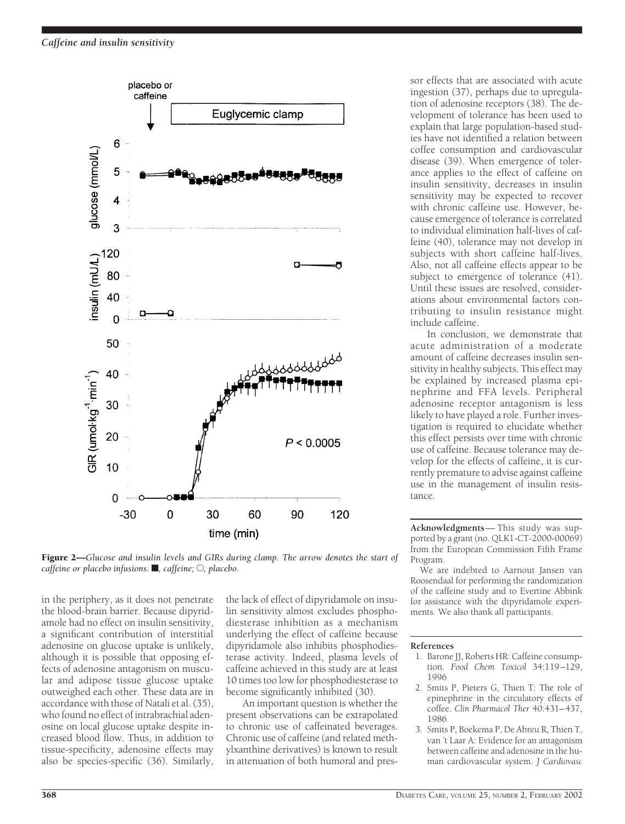

Figure 2—*Glucose and insulin levels and GIRs during clamp. The arrow denotes the start of caffeine or placebo infusions.* ■, *caffeine*; ○, *placebo.* 

in the periphery, as it does not penetrate the blood-brain barrier. Because dipyridamole had no effect on insulin sensitivity, a significant contribution of interstitial adenosine on glucose uptake is unlikely, although it is possible that opposing effects of adenosine antagonism on muscular and adipose tissue glucose uptake outweighed each other. These data are in accordance with those of Natali et al. (35), who found no effect of intrabrachial adenosine on local glucose uptake despite increased blood flow. Thus, in addition to tissue-specificity, adenosine effects may also be species-specific (36). Similarly, the lack of effect of dipyridamole on insulin sensitivity almost excludes phosphodiesterase inhibition as a mechanism underlying the effect of caffeine because dipyridamole also inhibits phosphodiesterase activity. Indeed, plasma levels of caffeine achieved in this study are at least 10 times too low for phosphodiesterase to become significantly inhibited (30).

An important question is whether the present observations can be extrapolated to chronic use of caffeinated beverages. Chronic use of caffeine (and related methylxanthine derivatives) is known to result in attenuation of both humoral and pressor effects that are associated with acute ingestion (37), perhaps due to upregulation of adenosine receptors (38). The development of tolerance has been used to explain that large population-based studies have not identified a relation between coffee consumption and cardiovascular disease (39). When emergence of tolerance applies to the effect of caffeine on insulin sensitivity, decreases in insulin sensitivity may be expected to recover with chronic caffeine use. However, because emergence of tolerance is correlated to individual elimination half-lives of caffeine (40), tolerance may not develop in subjects with short caffeine half-lives. Also, not all caffeine effects appear to be subject to emergence of tolerance (41). Until these issues are resolved, considerations about environmental factors contributing to insulin resistance might include caffeine.

In conclusion, we demonstrate that acute administration of a moderate amount of caffeine decreases insulin sensitivity in healthy subjects. This effect may be explained by increased plasma epinephrine and FFA levels. Peripheral adenosine receptor antagonism is less likely to have played a role. Further investigation is required to elucidate whether this effect persists over time with chronic use of caffeine. Because tolerance may develop for the effects of caffeine, it is currently premature to advise against caffeine use in the management of insulin resistance.

**Acknowledgments**— This study was supported by a grant (no. QLK1-CT-2000-00069) from the European Commission Fifth Frame Program.

We are indebted to Aarnout Jansen van Roosendaal for performing the randomization of the caffeine study and to Evertine Abbink for assistance with the dipyridamole experiments. We also thank all participants.

### **References**

- 1. Barone JJ, Roberts HR: Caffeine consumption. *Food Chem Toxicol* 34:119–129, 1996
- 2. Smits P, Pieters G, Thien T: The role of epinephrine in the circulatory effects of coffee. *Clin Pharmacol Ther* 40:431–437, 1986
- 3. Smits P, Boekema P, De Abreu R, Thien T, van 't Laar A: Evidence for an antagonism between caffeine and adenosine in the human cardiovascular system. *J Cardiovasc*